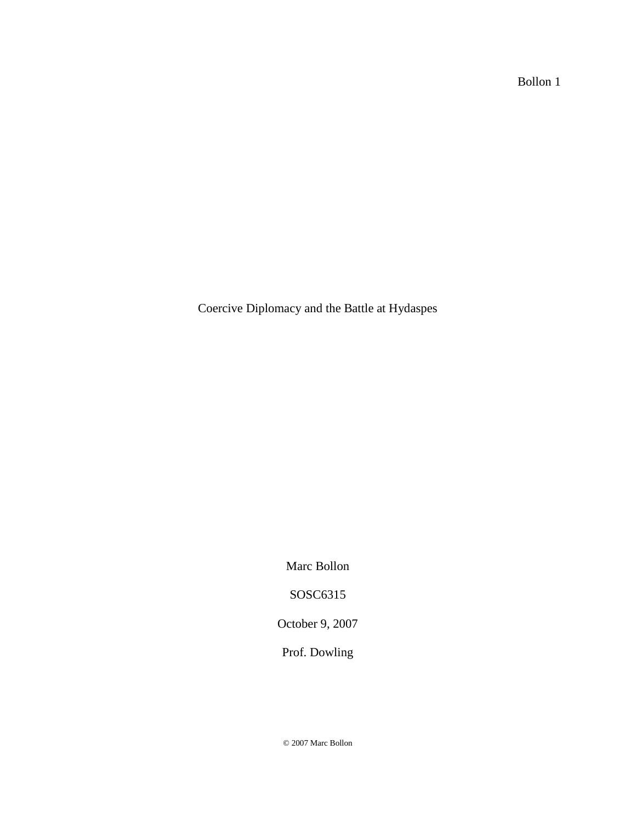Bollon 1

Coercive Diplomacy and the Battle at Hydaspes

Marc Bollon

SOSC6315

October 9, 2007

Prof. Dowling

© 2007 Marc Bollon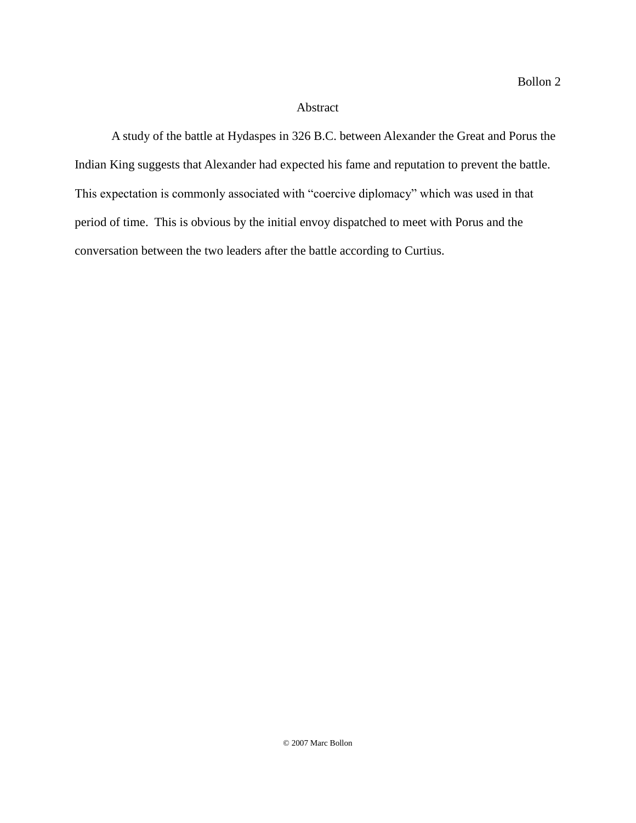## Abstract

A study of the battle at Hydaspes in 326 B.C. between Alexander the Great and Porus the Indian King suggests that Alexander had expected his fame and reputation to prevent the battle. This expectation is commonly associated with "coercive diplomacy" which was used in that period of time. This is obvious by the initial envoy dispatched to meet with Porus and the conversation between the two leaders after the battle according to Curtius.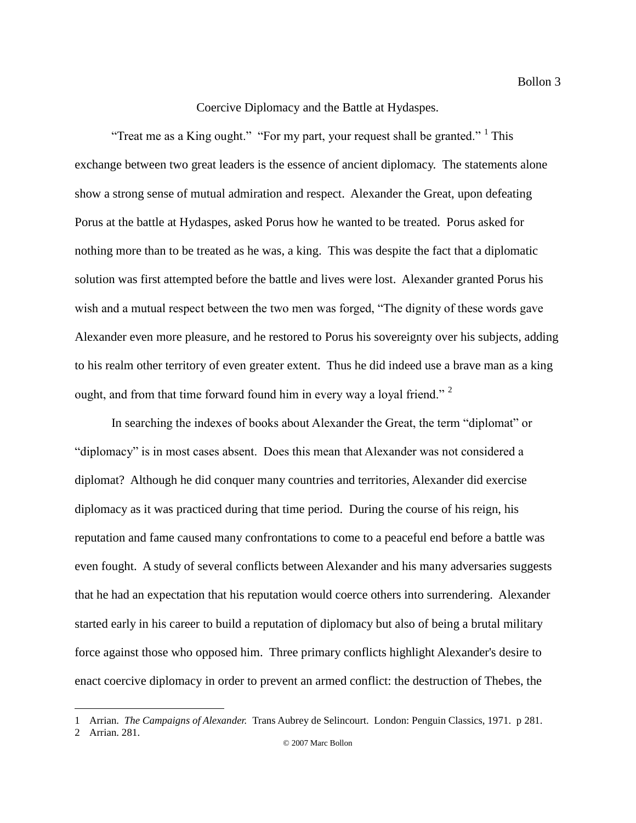## Coercive Diplomacy and the Battle at Hydaspes.

"Treat me as a King ought." "For my part, your request shall be granted."  $1$  This exchange between two great leaders is the essence of ancient diplomacy. The statements alone show a strong sense of mutual admiration and respect. Alexander the Great, upon defeating Porus at the battle at Hydaspes, asked Porus how he wanted to be treated. Porus asked for nothing more than to be treated as he was, a king. This was despite the fact that a diplomatic solution was first attempted before the battle and lives were lost. Alexander granted Porus his wish and a mutual respect between the two men was forged, "The dignity of these words gave Alexander even more pleasure, and he restored to Porus his sovereignty over his subjects, adding to his realm other territory of even greater extent. Thus he did indeed use a brave man as a king ought, and from that time forward found him in every way a loyal friend."<sup>2</sup>

In searching the indexes of books about Alexander the Great, the term "diplomat" or "diplomacy" is in most cases absent. Does this mean that Alexander was not considered a diplomat? Although he did conquer many countries and territories, Alexander did exercise diplomacy as it was practiced during that time period. During the course of his reign, his reputation and fame caused many confrontations to come to a peaceful end before a battle was even fought. A study of several conflicts between Alexander and his many adversaries suggests that he had an expectation that his reputation would coerce others into surrendering. Alexander started early in his career to build a reputation of diplomacy but also of being a brutal military force against those who opposed him. Three primary conflicts highlight Alexander's desire to enact coercive diplomacy in order to prevent an armed conflict: the destruction of Thebes, the

<sup>1</sup> Arrian. *The Campaigns of Alexander.* Trans Aubrey de Selincourt. London: Penguin Classics, 1971. p 281.

<sup>2</sup> Arrian. 281.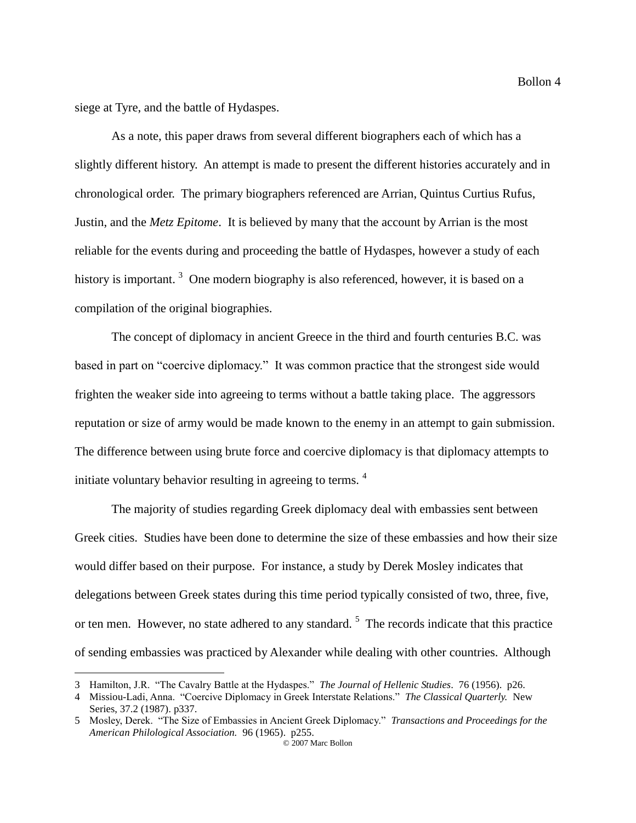siege at Tyre, and the battle of Hydaspes.

 $\overline{a}$ 

As a note, this paper draws from several different biographers each of which has a slightly different history. An attempt is made to present the different histories accurately and in chronological order. The primary biographers referenced are Arrian, Quintus Curtius Rufus, Justin, and the *Metz Epitome*. It is believed by many that the account by Arrian is the most reliable for the events during and proceeding the battle of Hydaspes, however a study of each history is important.<sup>3</sup> One modern biography is also referenced, however, it is based on a compilation of the original biographies.

The concept of diplomacy in ancient Greece in the third and fourth centuries B.C. was based in part on "coercive diplomacy." It was common practice that the strongest side would frighten the weaker side into agreeing to terms without a battle taking place. The aggressors reputation or size of army would be made known to the enemy in an attempt to gain submission. The difference between using brute force and coercive diplomacy is that diplomacy attempts to initiate voluntary behavior resulting in agreeing to terms. <sup>4</sup>

The majority of studies regarding Greek diplomacy deal with embassies sent between Greek cities. Studies have been done to determine the size of these embassies and how their size would differ based on their purpose. For instance, a study by Derek Mosley indicates that delegations between Greek states during this time period typically consisted of two, three, five, or ten men. However, no state adhered to any standard.<sup>5</sup> The records indicate that this practice of sending embassies was practiced by Alexander while dealing with other countries. Although

<sup>3</sup> Hamilton, J.R. "The Cavalry Battle at the Hydaspes." *The Journal of Hellenic Studies*. 76 (1956). p26.

<sup>4</sup> Missiou-Ladi, Anna. "Coercive Diplomacy in Greek Interstate Relations." *The Classical Quarterly.* New Series, 37.2 (1987). p337.

<sup>© 2007</sup> Marc Bollon 5 Mosley, Derek. "The Size of Embassies in Ancient Greek Diplomacy." *Transactions and Proceedings for the American Philological Association.* 96 (1965). p255.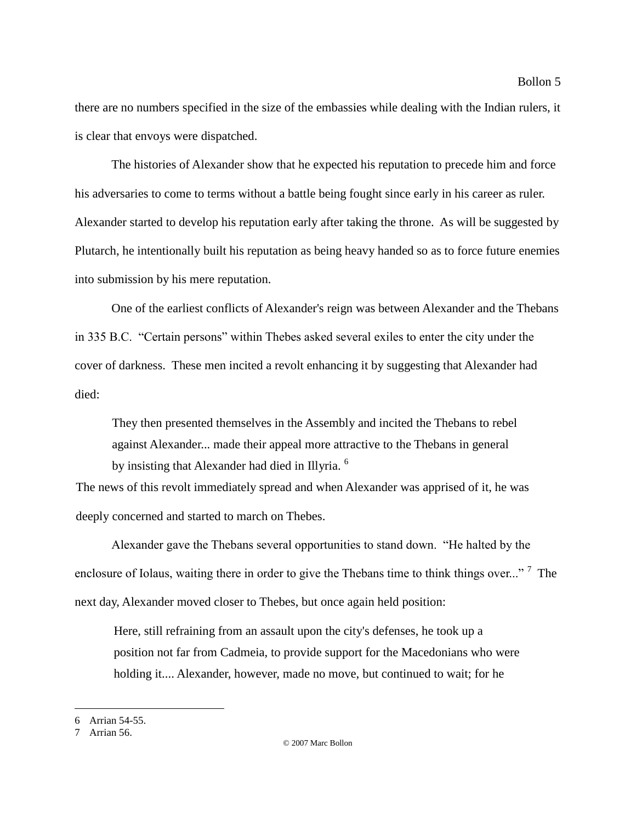there are no numbers specified in the size of the embassies while dealing with the Indian rulers, it is clear that envoys were dispatched.

The histories of Alexander show that he expected his reputation to precede him and force his adversaries to come to terms without a battle being fought since early in his career as ruler. Alexander started to develop his reputation early after taking the throne. As will be suggested by Plutarch, he intentionally built his reputation as being heavy handed so as to force future enemies into submission by his mere reputation.

One of the earliest conflicts of Alexander's reign was between Alexander and the Thebans in 335 B.C. "Certain persons" within Thebes asked several exiles to enter the city under the cover of darkness. These men incited a revolt enhancing it by suggesting that Alexander had died:

They then presented themselves in the Assembly and incited the Thebans to rebel against Alexander... made their appeal more attractive to the Thebans in general by insisting that Alexander had died in Illyria. <sup>6</sup>

The news of this revolt immediately spread and when Alexander was apprised of it, he was deeply concerned and started to march on Thebes.

Alexander gave the Thebans several opportunities to stand down. "He halted by the enclosure of Iolaus, waiting there in order to give the Thebans time to think things over..."<sup>7</sup> The next day, Alexander moved closer to Thebes, but once again held position:

Here, still refraining from an assault upon the city's defenses, he took up a position not far from Cadmeia, to provide support for the Macedonians who were holding it.... Alexander, however, made no move, but continued to wait; for he

<sup>6</sup> Arrian 54-55.

<sup>7</sup> Arrian 56.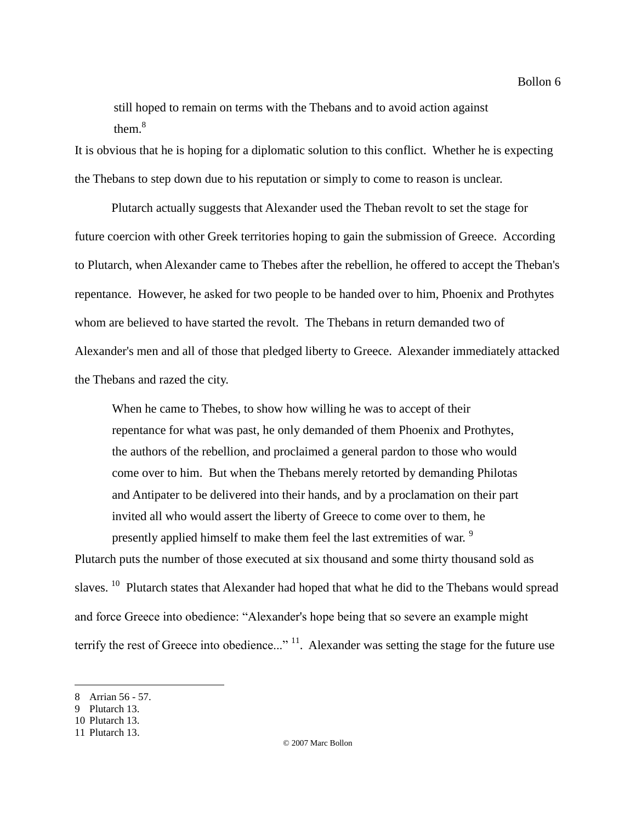still hoped to remain on terms with the Thebans and to avoid action against them $8$ 

It is obvious that he is hoping for a diplomatic solution to this conflict. Whether he is expecting the Thebans to step down due to his reputation or simply to come to reason is unclear.

Plutarch actually suggests that Alexander used the Theban revolt to set the stage for future coercion with other Greek territories hoping to gain the submission of Greece. According to Plutarch, when Alexander came to Thebes after the rebellion, he offered to accept the Theban's repentance. However, he asked for two people to be handed over to him, Phoenix and Prothytes whom are believed to have started the revolt. The Thebans in return demanded two of Alexander's men and all of those that pledged liberty to Greece. Alexander immediately attacked the Thebans and razed the city.

When he came to Thebes, to show how willing he was to accept of their repentance for what was past, he only demanded of them Phoenix and Prothytes, the authors of the rebellion, and proclaimed a general pardon to those who would come over to him. But when the Thebans merely retorted by demanding Philotas and Antipater to be delivered into their hands, and by a proclamation on their part invited all who would assert the liberty of Greece to come over to them, he presently applied himself to make them feel the last extremities of war.<sup>9</sup>

Plutarch puts the number of those executed at six thousand and some thirty thousand sold as slaves.<sup>10</sup> Plutarch states that Alexander had hoped that what he did to the Thebans would spread and force Greece into obedience: "Alexander's hope being that so severe an example might terrify the rest of Greece into obedience..."<sup>11</sup>. Alexander was setting the stage for the future use

<sup>8</sup> Arrian 56 - 57.

<sup>9</sup> Plutarch 13.

<sup>10</sup> Plutarch 13.

<sup>11</sup> Plutarch 13.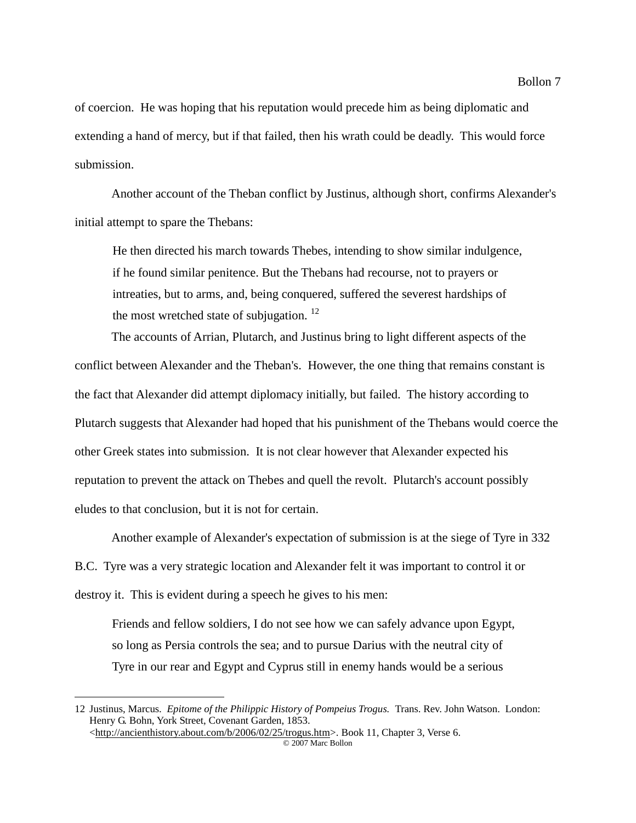of coercion. He was hoping that his reputation would precede him as being diplomatic and extending a hand of mercy, but if that failed, then his wrath could be deadly. This would force submission.

Another account of the Theban conflict by Justinus, although short, confirms Alexander's initial attempt to spare the Thebans:

He then directed his march towards Thebes, intending to show similar indulgence, if he found similar penitence. But the Thebans had recourse, not to prayers or intreaties, but to arms, and, being conquered, suffered the severest hardships of the most wretched state of subjugation.  $^{12}$ 

The accounts of Arrian, Plutarch, and Justinus bring to light different aspects of the conflict between Alexander and the Theban's. However, the one thing that remains constant is the fact that Alexander did attempt diplomacy initially, but failed. The history according to Plutarch suggests that Alexander had hoped that his punishment of the Thebans would coerce the other Greek states into submission. It is not clear however that Alexander expected his reputation to prevent the attack on Thebes and quell the revolt. Plutarch's account possibly eludes to that conclusion, but it is not for certain.

Another example of Alexander's expectation of submission is at the siege of Tyre in 332 B.C. Tyre was a very strategic location and Alexander felt it was important to control it or destroy it. This is evident during a speech he gives to his men:

Friends and fellow soldiers, I do not see how we can safely advance upon Egypt, so long as Persia controls the sea; and to pursue Darius with the neutral city of Tyre in our rear and Egypt and Cyprus still in enemy hands would be a serious

<sup>12</sup> Justinus, Marcus. *Epitome of the Philippic History of Pompeius Trogus.* Trans. Rev. John Watson. London: Henry G. Bohn, York Street, Covenant Garden, 1853. <http://ancienthistory.about.com/b/2006/02/25/trogus.htm>. Book 11, Chapter 3, Verse 6.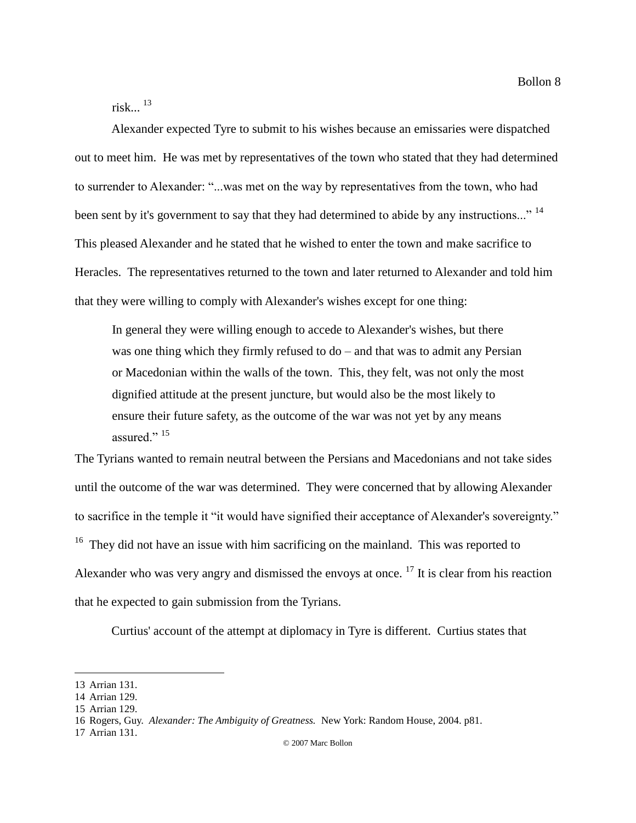Bollon 8

risk. $\frac{13}{2}$ 

Alexander expected Tyre to submit to his wishes because an emissaries were dispatched out to meet him. He was met by representatives of the town who stated that they had determined to surrender to Alexander: "...was met on the way by representatives from the town, who had been sent by it's government to say that they had determined to abide by any instructions..." <sup>14</sup> This pleased Alexander and he stated that he wished to enter the town and make sacrifice to Heracles. The representatives returned to the town and later returned to Alexander and told him that they were willing to comply with Alexander's wishes except for one thing:

In general they were willing enough to accede to Alexander's wishes, but there was one thing which they firmly refused to do – and that was to admit any Persian or Macedonian within the walls of the town. This, they felt, was not only the most dignified attitude at the present juncture, but would also be the most likely to ensure their future safety, as the outcome of the war was not yet by any means assured."  $15$ 

The Tyrians wanted to remain neutral between the Persians and Macedonians and not take sides until the outcome of the war was determined. They were concerned that by allowing Alexander to sacrifice in the temple it "it would have signified their acceptance of Alexander's sovereignty."  $16$  They did not have an issue with him sacrificing on the mainland. This was reported to Alexander who was very angry and dismissed the envoys at once.  $17$  It is clear from his reaction that he expected to gain submission from the Tyrians.

Curtius' account of the attempt at diplomacy in Tyre is different. Curtius states that

<sup>13</sup> Arrian 131.

<sup>14</sup> Arrian 129.

<sup>15</sup> Arrian 129.

<sup>16</sup> Rogers, Guy. *Alexander: The Ambiguity of Greatness.* New York: Random House, 2004. p81.

<sup>17</sup> Arrian 131.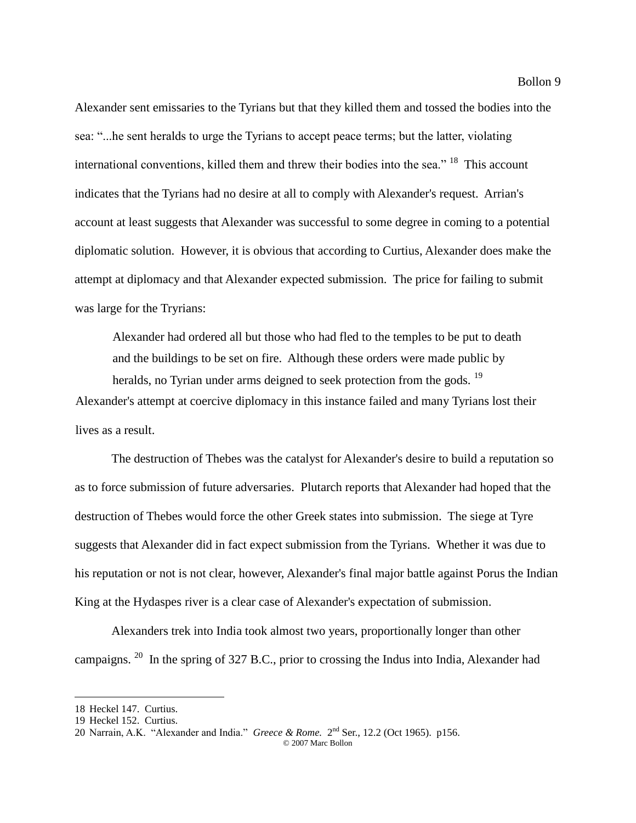Alexander sent emissaries to the Tyrians but that they killed them and tossed the bodies into the

sea: "...he sent heralds to urge the Tyrians to accept peace terms; but the latter, violating international conventions, killed them and threw their bodies into the sea." <sup>18</sup> This account indicates that the Tyrians had no desire at all to comply with Alexander's request. Arrian's account at least suggests that Alexander was successful to some degree in coming to a potential diplomatic solution. However, it is obvious that according to Curtius, Alexander does make the attempt at diplomacy and that Alexander expected submission. The price for failing to submit was large for the Tryrians:

Alexander had ordered all but those who had fled to the temples to be put to death and the buildings to be set on fire. Although these orders were made public by heralds, no Tyrian under arms deigned to seek protection from the gods. <sup>19</sup> Alexander's attempt at coercive diplomacy in this instance failed and many Tyrians lost their lives as a result.

The destruction of Thebes was the catalyst for Alexander's desire to build a reputation so as to force submission of future adversaries. Plutarch reports that Alexander had hoped that the destruction of Thebes would force the other Greek states into submission. The siege at Tyre suggests that Alexander did in fact expect submission from the Tyrians. Whether it was due to his reputation or not is not clear, however, Alexander's final major battle against Porus the Indian King at the Hydaspes river is a clear case of Alexander's expectation of submission.

Alexanders trek into India took almost two years, proportionally longer than other campaigns.<sup>20</sup> In the spring of 327 B.C., prior to crossing the Indus into India, Alexander had

<sup>18</sup> Heckel 147. Curtius.

<sup>19</sup> Heckel 152. Curtius.

<sup>© 2007</sup> Marc Bollon 20 Narrain, A.K. "Alexander and India." *Greece & Rome.* 2<sup>nd</sup> Ser., 12.2 (Oct 1965). p156.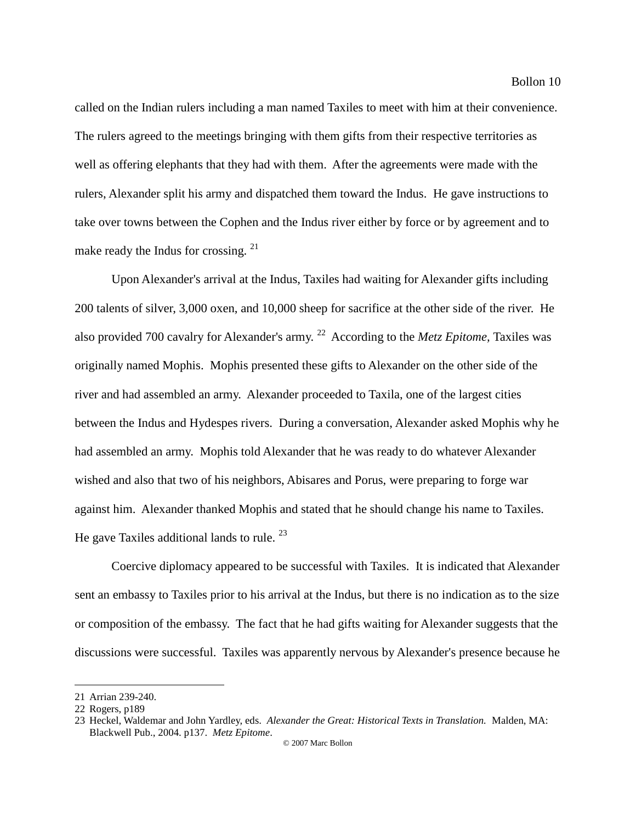called on the Indian rulers including a man named Taxiles to meet with him at their convenience. The rulers agreed to the meetings bringing with them gifts from their respective territories as well as offering elephants that they had with them. After the agreements were made with the rulers, Alexander split his army and dispatched them toward the Indus. He gave instructions to take over towns between the Cophen and the Indus river either by force or by agreement and to make ready the Indus for crossing.  $21$ 

Upon Alexander's arrival at the Indus, Taxiles had waiting for Alexander gifts including 200 talents of silver, 3,000 oxen, and 10,000 sheep for sacrifice at the other side of the river. He also provided 700 cavalry for Alexander's army.<sup>22</sup> According to the *Metz Epitome*, Taxiles was originally named Mophis. Mophis presented these gifts to Alexander on the other side of the river and had assembled an army. Alexander proceeded to Taxila, one of the largest cities between the Indus and Hydespes rivers. During a conversation, Alexander asked Mophis why he had assembled an army. Mophis told Alexander that he was ready to do whatever Alexander wished and also that two of his neighbors, Abisares and Porus, were preparing to forge war against him. Alexander thanked Mophis and stated that he should change his name to Taxiles. He gave Taxiles additional lands to rule.  $^{23}$ 

Coercive diplomacy appeared to be successful with Taxiles. It is indicated that Alexander sent an embassy to Taxiles prior to his arrival at the Indus, but there is no indication as to the size or composition of the embassy. The fact that he had gifts waiting for Alexander suggests that the discussions were successful. Taxiles was apparently nervous by Alexander's presence because he

<sup>21</sup> Arrian 239-240.

<sup>22</sup> Rogers, p189

<sup>23</sup> Heckel, Waldemar and John Yardley, eds. *Alexander the Great: Historical Texts in Translation.* Malden, MA: Blackwell Pub., 2004. p137. *Metz Epitome*.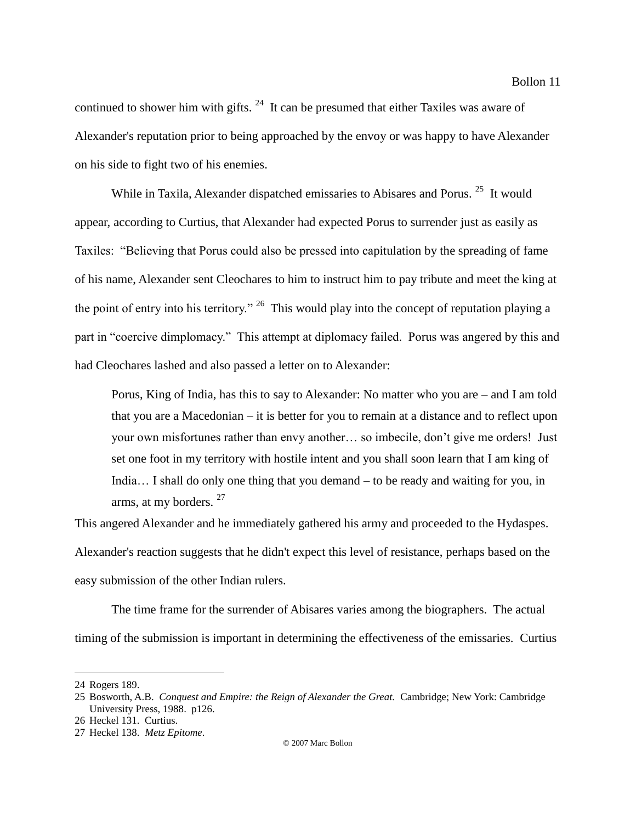continued to shower him with gifts.  $24$  It can be presumed that either Taxiles was aware of Alexander's reputation prior to being approached by the envoy or was happy to have Alexander on his side to fight two of his enemies.

While in Taxila, Alexander dispatched emissaries to Abisares and Porus.<sup>25</sup> It would appear, according to Curtius, that Alexander had expected Porus to surrender just as easily as Taxiles: "Believing that Porus could also be pressed into capitulation by the spreading of fame of his name, Alexander sent Cleochares to him to instruct him to pay tribute and meet the king at the point of entry into his territory."  $^{26}$  This would play into the concept of reputation playing a part in "coercive dimplomacy." This attempt at diplomacy failed. Porus was angered by this and had Cleochares lashed and also passed a letter on to Alexander:

Porus, King of India, has this to say to Alexander: No matter who you are – and I am told that you are a Macedonian – it is better for you to remain at a distance and to reflect upon your own misfortunes rather than envy another… so imbecile, don't give me orders! Just set one foot in my territory with hostile intent and you shall soon learn that I am king of India… I shall do only one thing that you demand – to be ready and waiting for you, in arms, at my borders.<sup>27</sup>

This angered Alexander and he immediately gathered his army and proceeded to the Hydaspes. Alexander's reaction suggests that he didn't expect this level of resistance, perhaps based on the easy submission of the other Indian rulers.

The time frame for the surrender of Abisares varies among the biographers. The actual timing of the submission is important in determining the effectiveness of the emissaries. Curtius

<sup>24</sup> Rogers 189.

<sup>25</sup> Bosworth, A.B. *Conquest and Empire: the Reign of Alexander the Great.* Cambridge; New York: Cambridge University Press, 1988. p126.

<sup>26</sup> Heckel 131. Curtius.

<sup>27</sup> Heckel 138. *Metz Epitome*.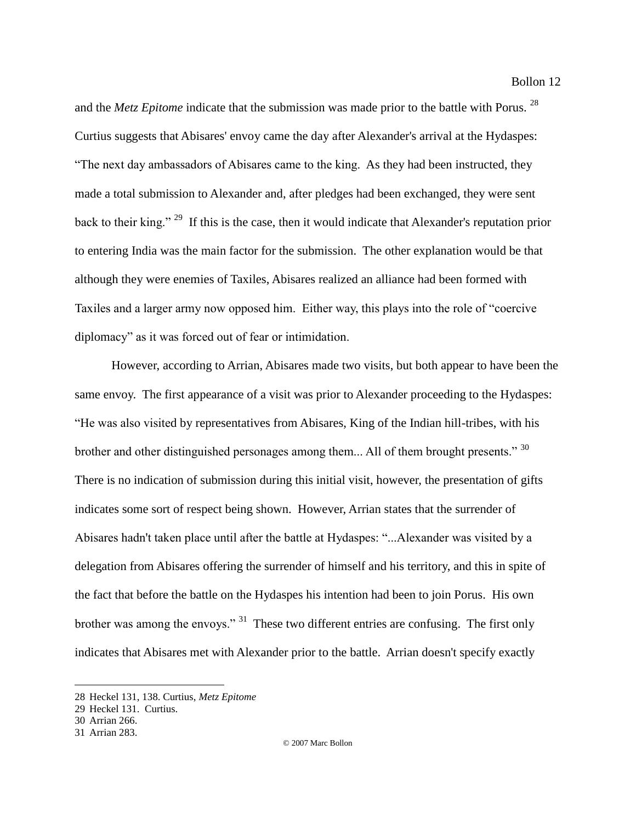and the *Metz Epitome* indicate that the submission was made prior to the battle with Porus. <sup>28</sup> Curtius suggests that Abisares' envoy came the day after Alexander's arrival at the Hydaspes: "The next day ambassadors of Abisares came to the king. As they had been instructed, they made a total submission to Alexander and, after pledges had been exchanged, they were sent back to their king."<sup>29</sup> If this is the case, then it would indicate that Alexander's reputation prior to entering India was the main factor for the submission. The other explanation would be that although they were enemies of Taxiles, Abisares realized an alliance had been formed with Taxiles and a larger army now opposed him. Either way, this plays into the role of "coercive diplomacy" as it was forced out of fear or intimidation.

However, according to Arrian, Abisares made two visits, but both appear to have been the same envoy. The first appearance of a visit was prior to Alexander proceeding to the Hydaspes: "He was also visited by representatives from Abisares, King of the Indian hill-tribes, with his brother and other distinguished personages among them... All of them brought presents." 30 There is no indication of submission during this initial visit, however, the presentation of gifts indicates some sort of respect being shown. However, Arrian states that the surrender of Abisares hadn't taken place until after the battle at Hydaspes: "...Alexander was visited by a delegation from Abisares offering the surrender of himself and his territory, and this in spite of the fact that before the battle on the Hydaspes his intention had been to join Porus. His own brother was among the envoys." <sup>31</sup> These two different entries are confusing. The first only indicates that Abisares met with Alexander prior to the battle. Arrian doesn't specify exactly

<sup>28</sup> Heckel 131, 138. Curtius, *Metz Epitome*

<sup>29</sup> Heckel 131. Curtius.

<sup>30</sup> Arrian 266.

<sup>31</sup> Arrian 283.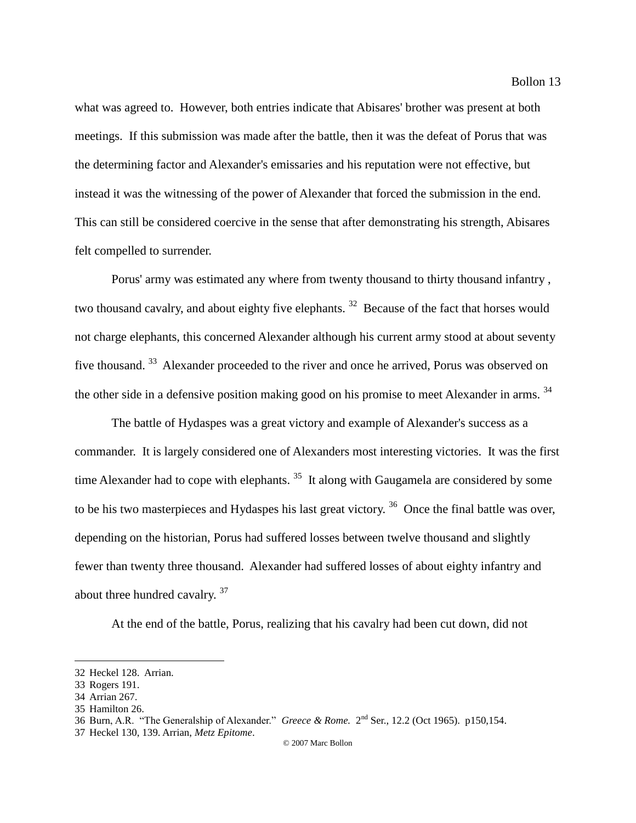what was agreed to. However, both entries indicate that Abisares' brother was present at both meetings. If this submission was made after the battle, then it was the defeat of Porus that was the determining factor and Alexander's emissaries and his reputation were not effective, but instead it was the witnessing of the power of Alexander that forced the submission in the end. This can still be considered coercive in the sense that after demonstrating his strength, Abisares felt compelled to surrender.

Porus' army was estimated any where from twenty thousand to thirty thousand infantry , two thousand cavalry, and about eighty five elephants.<sup>32</sup> Because of the fact that horses would not charge elephants, this concerned Alexander although his current army stood at about seventy five thousand.<sup>33</sup> Alexander proceeded to the river and once he arrived, Porus was observed on the other side in a defensive position making good on his promise to meet Alexander in arms.<sup>34</sup>

The battle of Hydaspes was a great victory and example of Alexander's success as a commander. It is largely considered one of Alexanders most interesting victories. It was the first time Alexander had to cope with elephants.  $35$  It along with Gaugamela are considered by some to be his two masterpieces and Hydaspes his last great victory.  $36$  Once the final battle was over, depending on the historian, Porus had suffered losses between twelve thousand and slightly fewer than twenty three thousand. Alexander had suffered losses of about eighty infantry and about three hundred cavalry. <sup>37</sup>

At the end of the battle, Porus, realizing that his cavalry had been cut down, did not

<sup>32</sup> Heckel 128. Arrian.

<sup>33</sup> Rogers 191.

<sup>34</sup> Arrian 267.

<sup>35</sup> Hamilton 26.

<sup>36</sup> Burn, A.R. "The Generalship of Alexander." *Greece & Rome.* 2 nd Ser., 12.2 (Oct 1965). p150,154.

<sup>37</sup> Heckel 130, 139. Arrian, *Metz Epitome*.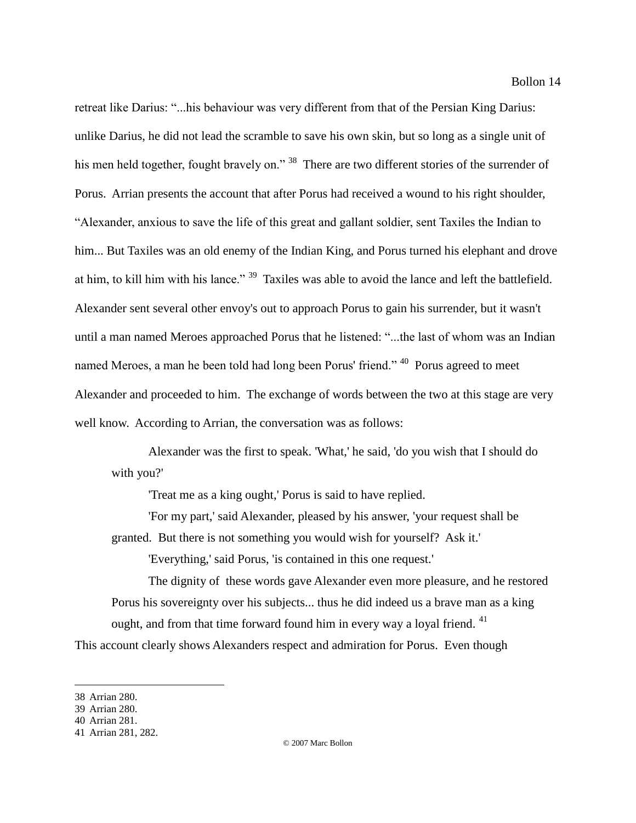retreat like Darius: "...his behaviour was very different from that of the Persian King Darius: unlike Darius, he did not lead the scramble to save his own skin, but so long as a single unit of his men held together, fought bravely on."<sup>38</sup> There are two different stories of the surrender of Porus. Arrian presents the account that after Porus had received a wound to his right shoulder, "Alexander, anxious to save the life of this great and gallant soldier, sent Taxiles the Indian to him... But Taxiles was an old enemy of the Indian King, and Porus turned his elephant and drove at him, to kill him with his lance."<sup>39</sup> Taxiles was able to avoid the lance and left the battlefield. Alexander sent several other envoy's out to approach Porus to gain his surrender, but it wasn't until a man named Meroes approached Porus that he listened: "...the last of whom was an Indian named Meroes, a man he been told had long been Porus' friend." <sup>40</sup> Porus agreed to meet Alexander and proceeded to him. The exchange of words between the two at this stage are very well know. According to Arrian, the conversation was as follows:

Alexander was the first to speak. 'What,' he said, 'do you wish that I should do with you?'

'Treat me as a king ought,' Porus is said to have replied.

'For my part,' said Alexander, pleased by his answer, 'your request shall be granted. But there is not something you would wish for yourself? Ask it.'

'Everything,' said Porus, 'is contained in this one request.'

The dignity of these words gave Alexander even more pleasure, and he restored Porus his sovereignty over his subjects... thus he did indeed us a brave man as a king ought, and from that time forward found him in every way a loyal friend. <sup>41</sup>

This account clearly shows Alexanders respect and admiration for Porus. Even though

<sup>38</sup> Arrian 280.

<sup>39</sup> Arrian 280.

<sup>40</sup> Arrian 281.

<sup>41</sup> Arrian 281, 282.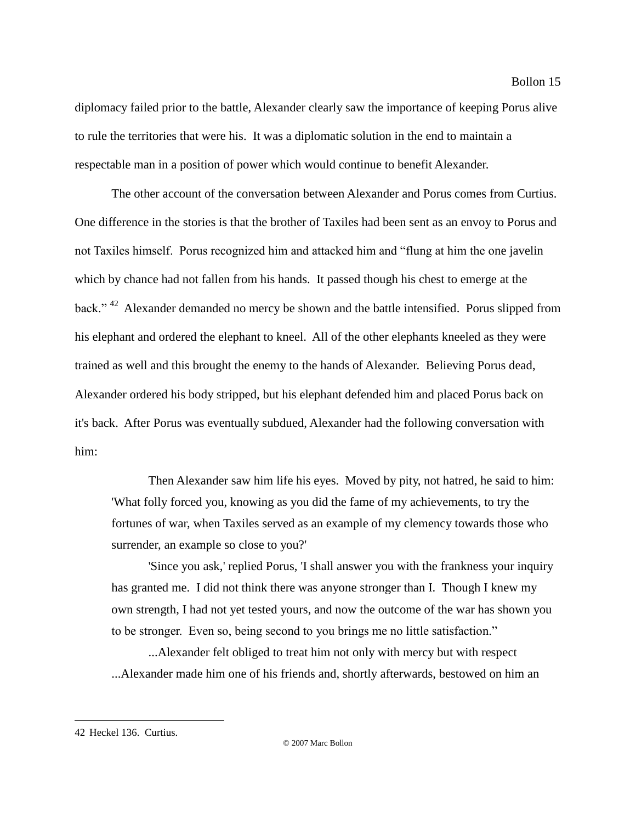diplomacy failed prior to the battle, Alexander clearly saw the importance of keeping Porus alive to rule the territories that were his. It was a diplomatic solution in the end to maintain a respectable man in a position of power which would continue to benefit Alexander.

The other account of the conversation between Alexander and Porus comes from Curtius. One difference in the stories is that the brother of Taxiles had been sent as an envoy to Porus and not Taxiles himself. Porus recognized him and attacked him and "flung at him the one javelin which by chance had not fallen from his hands. It passed though his chest to emerge at the back."<sup>42</sup> Alexander demanded no mercy be shown and the battle intensified. Porus slipped from his elephant and ordered the elephant to kneel. All of the other elephants kneeled as they were trained as well and this brought the enemy to the hands of Alexander. Believing Porus dead, Alexander ordered his body stripped, but his elephant defended him and placed Porus back on it's back. After Porus was eventually subdued, Alexander had the following conversation with him:

Then Alexander saw him life his eyes. Moved by pity, not hatred, he said to him: 'What folly forced you, knowing as you did the fame of my achievements, to try the fortunes of war, when Taxiles served as an example of my clemency towards those who surrender, an example so close to you?'

'Since you ask,' replied Porus, 'I shall answer you with the frankness your inquiry has granted me. I did not think there was anyone stronger than I. Though I knew my own strength, I had not yet tested yours, and now the outcome of the war has shown you to be stronger. Even so, being second to you brings me no little satisfaction."

...Alexander felt obliged to treat him not only with mercy but with respect ...Alexander made him one of his friends and, shortly afterwards, bestowed on him an

<sup>42</sup> Heckel 136. Curtius.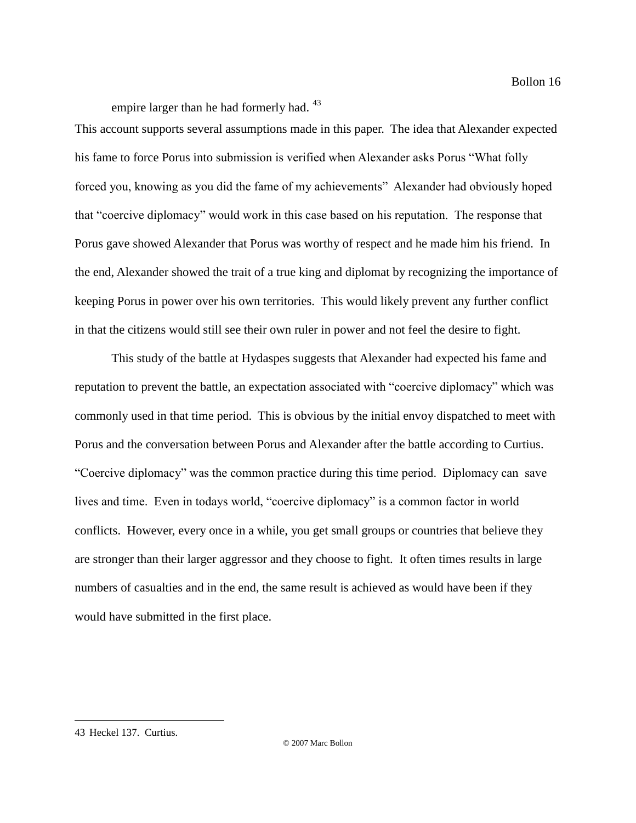empire larger than he had formerly had. <sup>43</sup>

This account supports several assumptions made in this paper. The idea that Alexander expected his fame to force Porus into submission is verified when Alexander asks Porus "What folly forced you, knowing as you did the fame of my achievements" Alexander had obviously hoped that "coercive diplomacy" would work in this case based on his reputation. The response that Porus gave showed Alexander that Porus was worthy of respect and he made him his friend. In the end, Alexander showed the trait of a true king and diplomat by recognizing the importance of keeping Porus in power over his own territories. This would likely prevent any further conflict in that the citizens would still see their own ruler in power and not feel the desire to fight.

This study of the battle at Hydaspes suggests that Alexander had expected his fame and reputation to prevent the battle, an expectation associated with "coercive diplomacy" which was commonly used in that time period. This is obvious by the initial envoy dispatched to meet with Porus and the conversation between Porus and Alexander after the battle according to Curtius. "Coercive diplomacy" was the common practice during this time period. Diplomacy can save lives and time. Even in todays world, "coercive diplomacy" is a common factor in world conflicts. However, every once in a while, you get small groups or countries that believe they are stronger than their larger aggressor and they choose to fight. It often times results in large numbers of casualties and in the end, the same result is achieved as would have been if they would have submitted in the first place.

<sup>43</sup> Heckel 137. Curtius.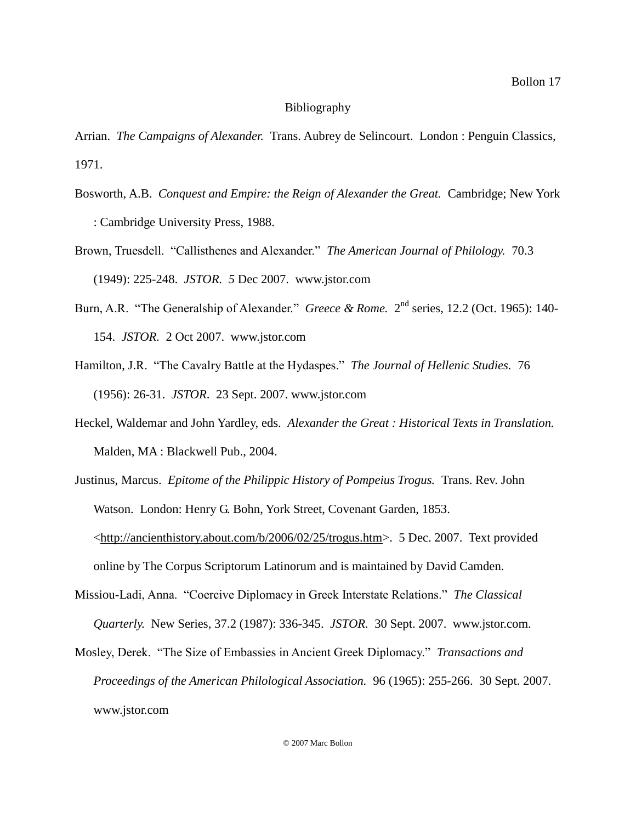## Bibliography

Arrian. *The Campaigns of Alexander.* Trans. Aubrey de Selincourt. London : Penguin Classics, 1971.

- Bosworth, A.B. *Conquest and Empire: the Reign of Alexander the Great.* Cambridge; New York : Cambridge University Press, 1988.
- Brown, Truesdell. "Callisthenes and Alexander." *The American Journal of Philology.* 70.3 (1949): 225-248. *JSTOR. 5* Dec 2007. www.jstor.com
- Burn, A.R. "The Generalship of Alexander." *Greece & Rome.* 2<sup>nd</sup> series, 12.2 (Oct. 1965): 140-154. *JSTOR.* 2 Oct 2007. www.jstor.com
- Hamilton, J.R. "The Cavalry Battle at the Hydaspes." *The Journal of Hellenic Studies.* 76 (1956): 26-31. *JSTOR*. 23 Sept. 2007. www.jstor.com
- Heckel, Waldemar and John Yardley, eds. *Alexander the Great : Historical Texts in Translation.* Malden, MA : Blackwell Pub., 2004.
- Justinus, Marcus. *Epitome of the Philippic History of Pompeius Trogus.* Trans. Rev. John Watson. London: Henry G. Bohn, York Street, Covenant Garden, 1853. <http://ancienthistory.about.com/b/2006/02/25/trogus.htm>. 5 Dec. 2007. Text provided online by The Corpus Scriptorum Latinorum and is maintained by David Camden.
- Missiou-Ladi, Anna. "Coercive Diplomacy in Greek Interstate Relations." *The Classical Quarterly.* New Series, 37.2 (1987): 336-345. *JSTOR.* 30 Sept. 2007. www.jstor.com.
- Mosley, Derek. "The Size of Embassies in Ancient Greek Diplomacy." *Transactions and Proceedings of the American Philological Association.* 96 (1965): 255-266. 30 Sept. 2007. www.jstor.com